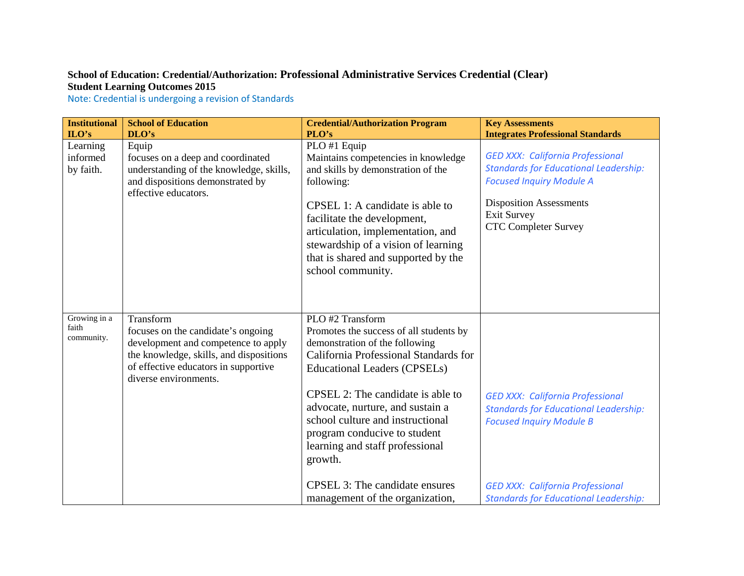## **School of Education: Credential/Authorization: Professional Administrative Services Credential (Clear) Student Learning Outcomes 2015**

Note: Credential is undergoing a revision of Standards

| <b>Institutional</b><br>$LO's$      | <b>School of Education</b><br>DLO's                                                                                                                                                                | <b>Credential/Authorization Program</b><br>PLO's                                                                                                                                                                                                                                                                                                                         | <b>Key Assessments</b><br><b>Integrates Professional Standards</b>                                                                                                                                                |
|-------------------------------------|----------------------------------------------------------------------------------------------------------------------------------------------------------------------------------------------------|--------------------------------------------------------------------------------------------------------------------------------------------------------------------------------------------------------------------------------------------------------------------------------------------------------------------------------------------------------------------------|-------------------------------------------------------------------------------------------------------------------------------------------------------------------------------------------------------------------|
| Learning<br>informed<br>by faith.   | Equip<br>focuses on a deep and coordinated<br>understanding of the knowledge, skills,<br>and dispositions demonstrated by<br>effective educators.                                                  | PLO #1 Equip<br>Maintains competencies in knowledge<br>and skills by demonstration of the<br>following:<br>CPSEL 1: A candidate is able to<br>facilitate the development,<br>articulation, implementation, and<br>stewardship of a vision of learning<br>that is shared and supported by the<br>school community.                                                        | <b>GED XXX: California Professional</b><br><b>Standards for Educational Leadership:</b><br><b>Focused Inquiry Module A</b><br><b>Disposition Assessments</b><br><b>Exit Survey</b><br><b>CTC Completer Survey</b> |
| Growing in a<br>faith<br>community. | Transform<br>focuses on the candidate's ongoing<br>development and competence to apply<br>the knowledge, skills, and dispositions<br>of effective educators in supportive<br>diverse environments. | PLO #2 Transform<br>Promotes the success of all students by<br>demonstration of the following<br>California Professional Standards for<br><b>Educational Leaders (CPSELs)</b><br>CPSEL 2: The candidate is able to<br>advocate, nurture, and sustain a<br>school culture and instructional<br>program conducive to student<br>learning and staff professional<br>growth. | <b>GED XXX: California Professional</b><br><b>Standards for Educational Leadership:</b><br><b>Focused Inquiry Module B</b>                                                                                        |
|                                     |                                                                                                                                                                                                    | CPSEL 3: The candidate ensures<br>management of the organization,                                                                                                                                                                                                                                                                                                        | <b>GED XXX: California Professional</b><br><b>Standards for Educational Leadership:</b>                                                                                                                           |